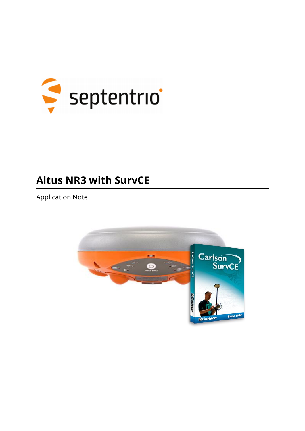

# **Altus NR3 with SurvCE**

**Application Note** 

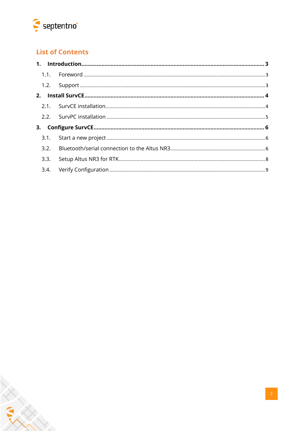

 $\hat{\mathbb{X}}$ 

# **List of Contents**

| 3.3. |  |
|------|--|
|      |  |

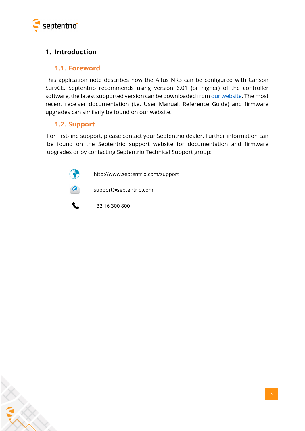

X

# <span id="page-2-1"></span><span id="page-2-0"></span>**1. Introduction**

#### **1.1. Foreword**

This application note describes how the Altus NR3 can be configured with Carlson SurvCE. Septentrio recommends using version 6.01 (or higher) of the controller software, the latest supported version can be downloaded fro[m our website.](http://www.septentrio.com/support) The most recent receiver documentation (i.e. User Manual, Reference Guide) and firmware upgrades can similarly be found on our website.

#### <span id="page-2-2"></span>**1.2. Support**

For first-line support, please contact your Septentrio dealer. Further information can be found on the Septentrio support website for documentation and firmware upgrades or by contacting Septentrio Technical Support group:

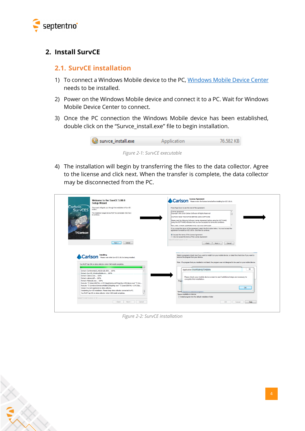

## <span id="page-3-1"></span><span id="page-3-0"></span>**2. Install SurvCE**

#### **2.1. SurvCE installation**

- 1) To connect a Windows Mobile device to the PC, [Windows Mobile Device Center](https://support.microsoft.com/en-us/help/931937/description-of-windows-mobile-device-center) needs to be installed.
- 2) Power on the Windows Mobile device and connect it to a PC. Wait for Windows Mobile Device Center to connect.
- 3) Once the PC connection the Windows Mobile device has been established, double click on the "Survce\_install.exe" file to begin installation.



*Figure 2-1: SurvCE executable*

4) The installation will begin by transferring the files to the data collector. Agree to the license and click next. When the transfer is complete, the data collector may be disconnected from the PC.

| <b>Setup Wizard</b>                                                                                                                                | <b>Carlson</b> Please review the Icense terms before instaling SurvCE 5.06.6.                                                                                           |
|----------------------------------------------------------------------------------------------------------------------------------------------------|-------------------------------------------------------------------------------------------------------------------------------------------------------------------------|
| Carlson<br>This wizard will guide you through the installation of SurvCE<br>5.06.6.                                                                | Press Page Down to see the rest of the agreement.                                                                                                                       |
| SurvCE5<br>The installation target device MUST be connected, Click Next                                                                            | License Agreement<br>$\lambda$                                                                                                                                          |
| to continue.                                                                                                                                       | Copyright 1992-2016 Carlson Software All Rights Reserved<br>Π                                                                                                           |
|                                                                                                                                                    | CALITTON! READ THIS NOTICE BEFORE LISTNG SOFTWARE.                                                                                                                      |
|                                                                                                                                                    | Please read the following Software License Agreement before using the SOFTWARE.                                                                                         |
|                                                                                                                                                    | Using this SOFTWARE indicates that you have accepted its terms and conditions.                                                                                          |
|                                                                                                                                                    | FND 4 ISER LICENSE AGREEMENT FOR CARLSON SOFTWARE.                                                                                                                      |
|                                                                                                                                                    | If you accept the terms of the agreement, select the first option below. You must accept the<br>agreement to install SurvCE 5.06.6. Click Next to continue.             |
| <b>Carlson</b>                                                                                                                                     |                                                                                                                                                                         |
|                                                                                                                                                    | <sup>3</sup> I accept the terms of the License Agreement<br>ich I do not accept the terms of the License Agreement                                                      |
|                                                                                                                                                    | Nullsoft Install System v2.46 -                                                                                                                                         |
| Next<br>Cancel                                                                                                                                     | $<$ Back<br>Next<br>Cancel                                                                                                                                              |
|                                                                                                                                                    |                                                                                                                                                                         |
|                                                                                                                                                    | Select a program's check box if you want to install it on your mobile device, or clear the check box if you want to                                                     |
| Carlson Installing<br>Carlson Please wait while SurvCE 5.06.6 is being installed.<br>You MUST tao OK on data collector when CAB install completes. | remove the program from your device.<br>Note: If a program that you installed is not listed, the program was not designed to be used on your mobile device.<br>$\Sigma$ |
| Extract: ContinentalUS_NGS2012B.GRD 100%                                                                                                           | <b>Application Downloading Complete</b>                                                                                                                                 |
| Extract: SurvCE_WindowsMobile.ini 100%<br>Extract: Cabwiz.exe 100%                                                                                 |                                                                                                                                                                         |
| Extract: cabwiz.ddf 100%                                                                                                                           | Please check your mobile device screen to see if additional steps are necessary to                                                                                      |
| Extract: Makecab.exe 100%                                                                                                                          | complete this installation.<br>Progl                                                                                                                                    |
| Execute: "C:\Users\INSTAL~1.PC3\AppData\Local\Temp\SurvCE\Cabwiz.exe" "C:\Us                                                                       |                                                                                                                                                                         |
| Execute: "C:\windows\WindowsMobile\CEAppMgr.exe" "C:\Users\INSTAL ~1.PC3\Ap                                                                        | OK                                                                                                                                                                      |
| Version 5 is not registered on data collector.<br>Completing SurvCE installation. Please keep data collector connected to PC.                      |                                                                                                                                                                         |
| You MUST tap OK on data collector when CAB install completes.<br>۰                                                                                 | Space                                                                                                                                                                   |
|                                                                                                                                                    | Space available on device:<br>Im Install program into the default installation folder                                                                                   |
| Nullsoft Install System y2.46 -                                                                                                                    |                                                                                                                                                                         |

*Figure 2-2: SurvCE installation*

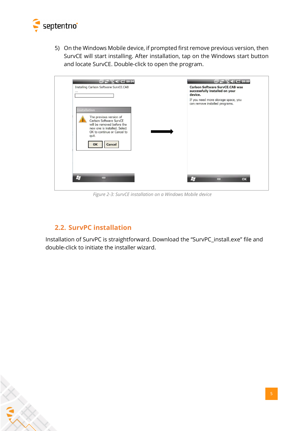

5) On the Windows Mobile device, if prompted first remove previous version, then SurvCE will start installing. After installation, tap on the Windows start button and locate SurvCE. Double-click to open the program.

| Installing Carlson Software SurvCE.CAB<br>$\cdots$                                                                                                                                              | <b>Carlson Software SurvCE.CAB was</b><br>successfully installed on your<br>device. |
|-------------------------------------------------------------------------------------------------------------------------------------------------------------------------------------------------|-------------------------------------------------------------------------------------|
|                                                                                                                                                                                                 | If you need more storage space, you<br>can remove installed programs.               |
| <b>Installation</b><br>The previous version of<br>Carlson Software SurvCE<br>will be removed before the<br>new one is installed. Select<br>OK to continue or Cancel to<br>quit.<br>OK<br>Cancel |                                                                                     |
| H <sub>3</sub><br>Ħ                                                                                                                                                                             |                                                                                     |

*Figure 2-3: SurvCE installation on a Windows Mobile device*

## **2.2. SurvPC installation**

<span id="page-4-0"></span>Installation of SurvPC is straightforward. Download the "SurvPC\_install.exe" file and double-click to initiate the installer wizard.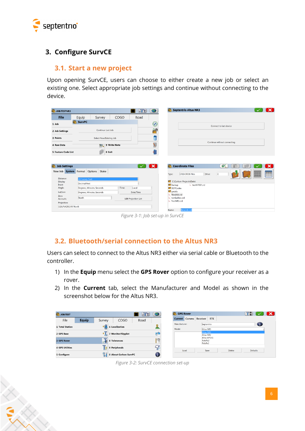

## <span id="page-5-1"></span><span id="page-5-0"></span>**3. Configure SurvCE**

#### **3.1. Start a new project**

Upon opening SurvCE, users can choose to either create a new job or select an existing one. Select appropriate job settings and continue without connecting to the device.

| JOB:TESTNR3                         |                       |                           |              | $\sqrt{2}$                  |              |
|-------------------------------------|-----------------------|---------------------------|--------------|-----------------------------|--------------|
| <b>Eile</b>                         | Equip                 | Survey                    | COGO         | Road                        |              |
| 1 Job                               | <b>SurvPC</b>         |                           |              |                             | $\circledS$  |
| 2 Job Settings                      |                       | Continue Last Job         |              |                             | 滥            |
| 3 Points                            |                       | Select New/Existing Job   |              |                             |              |
| 4 Raw Data                          |                       |                           | 9 Write Note |                             | Ń            |
|                                     |                       |                           | 0 Exit       |                             |              |
| 5 Feature Code List                 |                       |                           |              |                             |              |
|                                     |                       |                           |              |                             |              |
|                                     |                       |                           |              |                             |              |
| <b>Job Settings</b>                 |                       |                           |              |                             | $\mathbf{x}$ |
| New Job System Format Options Stake |                       |                           |              |                             |              |
| Distance:<br>Display                | <b>US Survey Feet</b> |                           |              |                             |              |
| Input                               | <b>Decimal Feet</b>   |                           |              |                             |              |
| Angle:                              |                       | Degrees, Minutes, Seconds | · Time:      | Local                       |              |
| Lat/Lon:<br>Zero                    |                       | Degrees, Minutes, Seconds |              | Date/Time                   |              |
| Azimuth:                            | North                 |                           |              | <b>Edit Projection List</b> |              |
| Projection:<br>USA/NAD83/KY North   |                       |                           |              |                             |              |

*Figure 3-1: Job set-up in SurvCE*

# <span id="page-5-2"></span>**3.2. Bluetooth/serial connection to the Altus NR3**

Users can select to connect to the Altus NR3 either via serial cable or Bluetooth to the controller.

- 1) In the **Equip** menu select the **GPS Rover** option to configure your receiver as a rover.
- 2) In the **Current** tab, select the Manufacturer and Model as shown in the screenshot below for the Altus NR3.

| JOB:TEST               |              |        |                        | ⊠⊺⊠  |      |
|------------------------|--------------|--------|------------------------|------|------|
| <b>Eile</b>            | <b>Equip</b> | Survey | COGO                   | Road |      |
| 1 Total Station        |              | .G     | <b>6 Localization</b>  |      |      |
| 2 GPS Base             |              |        | 7 Monitor/Skyplot      |      | k, e |
| 3 GPS Rover            |              | 不      | 8 Tolerances           |      | Ħ    |
| <b>4 GPS Utilities</b> |              |        | 9 Peripherals          |      | Q    |
| 5 Configure            |              |        | 0 About Carlson SurvPC |      | đ    |

*Figure 3-2: SurvCE connection set-up*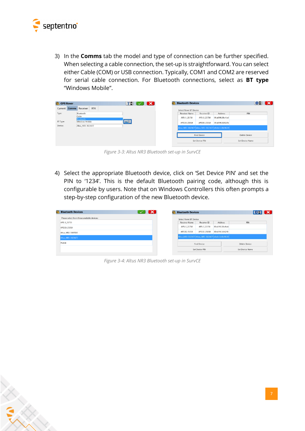

3) In the **Comms** tab the model and type of connection can be further specified. When selecting a cable connection, the set-up is straightforward. You can select either Cable (COM) or USB connection. Typically, COM1 and COM2 are reserved for serial cable connection. For Bluetooth connections, select as **BT type** "Windows Mobile".

| <b>GPS Rover</b> |                                     | <b>TH</b> 1<br>$\mathbf{K}$<br>$\checkmark$ | <b>Bluetooth Devices</b>                              |                    |                   |                      | 89 X |  |
|------------------|-------------------------------------|---------------------------------------------|-------------------------------------------------------|--------------------|-------------------|----------------------|------|--|
| Current          | <b>Comms</b> Receiver<br><b>RTK</b> |                                             | Select Rover BT Device                                |                    |                   |                      |      |  |
| Type:            | Bluetooth                           |                                             | <b>Receiver Name</b>                                  | Receiver ID        | Address           | PIN                  |      |  |
|                  | Cable<br><b>Bluetooth</b>           |                                             | APS-3 21758                                           | APS-3 21758        | 00:a0:96:38:c4:a6 |                      |      |  |
| BT Type:         | <b>Windows Mobile</b>               | <b>OISE</b>                                 | APS3G-25018                                           | APS3G-25018        | 00:a0:96:3d:62:fe |                      |      |  |
| Device:          | Altus NR3-3023677                   |                                             | Altus NR3-3023677 Altus NR3-3023677 e8:eb:11:0b:96:39 |                    |                   |                      |      |  |
|                  |                                     |                                             |                                                       | <b>Find Device</b> |                   | <b>Delete Device</b> |      |  |
|                  |                                     |                                             |                                                       | Set Device PIN     |                   | Set Device Name      |      |  |
|                  |                                     |                                             |                                                       |                    |                   |                      |      |  |

*Figure 3-3: Altus NR3 Bluetooth set-up in SurvCE*

4) Select the appropriate Bluetooth device, click on 'Set Device PIN' and set the PIN to '1234'. This is the default Bluetooth pairing code, although this is configurable by users. Note that on Windows Controllers this often prompts a step-by-step configuration of the new Bluetooth device.

| <b>Bluetooth Devices</b>                    | х | <b>Bluetooth Devices</b>                                |                |                   | <b>EE X</b>     |
|---------------------------------------------|---|---------------------------------------------------------|----------------|-------------------|-----------------|
| Please select from these available devices: |   | Select Rover BT Device                                  |                |                   |                 |
| APS-3 21715                                 |   | Receiver Name                                           | Receiver ID    | Address           | PIN             |
| APS3G-25018                                 |   | APS-3 21758                                             | APS-3 21758    | 00:a0:96:38:c4:a6 |                 |
| Altus NR2-3009503                           |   | APS3G-25018                                             | APS3G-25018    | 00:a0:96:3d:62:fe |                 |
| Altus NR3-3023677                           |   | Altus, NR3-3023677 Altus, NR3-3023677 e8:eb:11:0b:96:39 |                |                   |                 |
| <b>PC60B</b>                                |   |                                                         | Find Device    |                   | Delete Device   |
|                                             |   |                                                         | Set Device PIN |                   | Set Device Name |

*Figure 3-4: Altus NR3 Bluetooth set-up in SurvCE*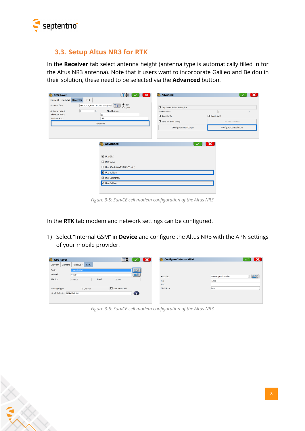

#### <span id="page-7-0"></span>**3.3. Setup Altus NR3 for RTK**

In the **Receiver** tab select antenna height (antenna type is automatically filled in for the Altus NR3 antenna). Note that if users want to incorporate Galileo and Beidou in their solution, these need to be selected via the **Advanced** button.

|                                                                                                                                            | $\overline{\mathbf{x}}$         |
|--------------------------------------------------------------------------------------------------------------------------------------------|---------------------------------|
| Current Comms Receiver<br><b>RTK</b>                                                                                                       |                                 |
| $\circledcirc$ Yert<br>$\circledcirc$ Slant<br>[SEPALTUS_NR3 NONE] Integrate $\boxed{1}$<br>Antenna Type:<br>Tag Stored Points in Log File |                                 |
| $ 0\rangle$<br>ft<br>Abs. 68.5mm<br>Antenna Height:<br><b>Site Duration:</b>                                                               | $\vert$ 1<br>s                  |
| Elevation Mask:<br>10<br>$\bullet$<br>$\Box$ Save Config<br><b>Position Rate:</b><br>1 Hz                                                  | $\Box$ Enable WiFi              |
| $\Box$ Send file after config<br>Advanced                                                                                                  | No File Selected!               |
| Configure NMEA Output                                                                                                                      | <b>Configure Constellations</b> |
| $\boxdot$ Use GPS                                                                                                                          |                                 |
| Use QZSS                                                                                                                                   |                                 |
| Use SBAS (WAAS,EGNOS,etc.)                                                                                                                 |                                 |
| ■ Use Beidou                                                                                                                               |                                 |
| □ Use GLONASS                                                                                                                              |                                 |
| J Use Galileo                                                                                                                              |                                 |
|                                                                                                                                            |                                 |

*Figure 3-5: SurvCE cell modem configuration of the Altus NR3*

In the **RTK** tab modem and network settings can be configured.

1) Select "Internal GSM" in **Device** and configure the Altus NR3 with the APN settings of your mobile provider.

| <b>SPS Rover</b>             |                        |       | 了罚              | $\mathbf x$ |            | Configure Internal GSM |                      | $\mathbf x$    |
|------------------------------|------------------------|-------|-----------------|-------------|------------|------------------------|----------------------|----------------|
| Current Comms                | <b>RTK</b><br>Receiver |       |                 |             |            |                        |                      |                |
| Device:                      | <b>Internal GSM</b>    |       |                 | 00          |            |                        |                      |                |
| Network:                     | <b>NTRIP</b>           |       |                 | 200         | Provider:  |                        | internet.proximus.be | $\overline{Q}$ |
| RTK Port:                    | Internal               | Baud: | 19200           |             | Pin:       |                        | 1234                 |                |
|                              |                        |       |                 |             | PUK:       |                        |                      |                |
| Message Type:                | RTCM V3.0              |       | □ Use 1021-1027 |             | Dial Mode: |                        | Auto                 |                |
| NtripInfoCaster: FLEPOSVRS31 |                        |       |                 | ❶           |            |                        |                      |                |
|                              |                        |       |                 |             |            |                        |                      |                |
|                              |                        |       |                 |             |            |                        |                      |                |

*Figure 3-6: SurvCE cell modem configuration of the Altus NR3*